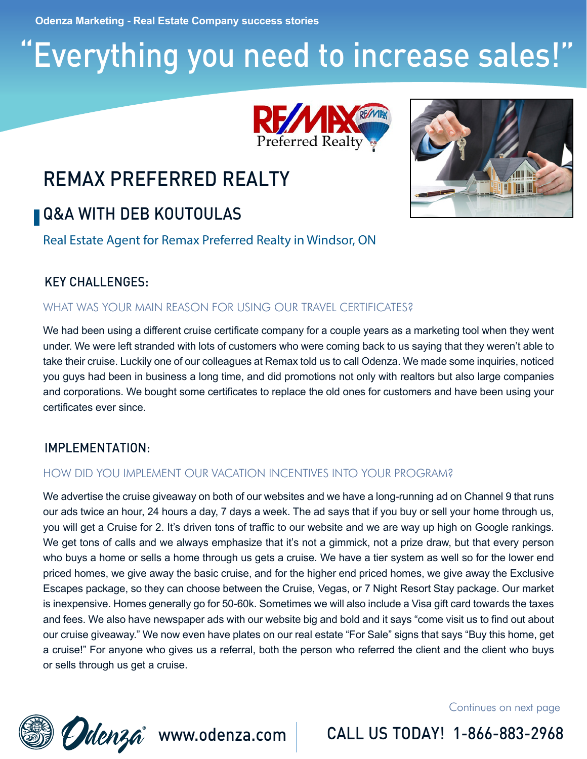**Odenza Marketing - Real Estate Company success stories**

# "Everything you need to increase sales!"



### REMAX PREFERRED REALTY

### **Q&A WITH DEB KOUTOULAS**

Real Estate Agent for Remax Preferred Realty in Windsor, ON

### KEY CHALLENGES:

#### WHAT WAS YOUR MAIN REASON FOR USING OUR TRAVEL CERTIFICATES?

We had been using a different cruise certificate company for a couple years as a marketing tool when they went under. We were left stranded with lots of customers who were coming back to us saying that they weren't able to take their cruise. Luckily one of our colleagues at Remax told us to call Odenza. We made some inquiries, noticed you guys had been in business a long time, and did promotions not only with realtors but also large companies and corporations. We bought some certificates to replace the old ones for customers and have been using your certificates ever since.

### IMPLEMENTATION:

### HOW DID YOU IMPLEMENT OUR VACATION INCENTIVES INTO YOUR PROGRAM?

We advertise the cruise giveaway on both of our websites and we have a long-running ad on Channel 9 that runs our ads twice an hour, 24 hours a day, 7 days a week. The ad says that if you buy or sell your home through us, you will get a Cruise for 2. It's driven tons of traffic to our website and we are way up high on Google rankings. We get tons of calls and we always emphasize that it's not a gimmick, not a prize draw, but that every person who buys a home or sells a home through us gets a cruise. We have a tier system as well so for the lower end priced homes, we give away the basic cruise, and for the higher end priced homes, we give away the Exclusive Escapes package, so they can choose between the Cruise, Vegas, or 7 Night Resort Stay package. Our market is inexpensive. Homes generally go for 50-60k. Sometimes we will also include a Visa gift card towards the taxes and fees. We also have newspaper ads with our website big and bold and it says "come visit us to find out about our cruise giveaway." We now even have plates on our real estate "For Sale" signs that says "Buy this home, get a cruise!" For anyone who gives us a referral, both the person who referred the client and the client who buys or sells through us get a cruise.

Continues on next page